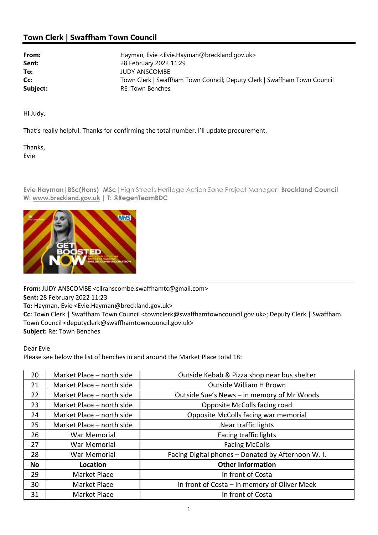## Town Clerk | Swaffham Town Council

| From:    | Hayman, Evie <evie.hayman@breckland.gov.uk></evie.hayman@breckland.gov.uk> |
|----------|----------------------------------------------------------------------------|
| Sent:    | 28 February 2022 11:29                                                     |
| To:      | <b>JUDY ANSCOMBE</b>                                                       |
| Cc:      | Town Clerk   Swaffham Town Council; Deputy Clerk   Swaffham Town Council   |
| Subject: | <b>RE: Town Benches</b>                                                    |

Hi Judy,

That's really helpful. Thanks for confirming the total number. I'll update procurement.

Thanks, Evie

Evie Hayman | BSc(Hons) | MSc | High Streets Heritage Action Zone Project Manager | Breckland Council W: www.breckland.gov.uk | T: @RegenTeamBDC



From: JUDY ANSCOMBE <cllranscombe.swaffhamtc@gmail.com> Sent: 28 February 2022 11:23 To: Hayman, Evie <Evie.Hayman@breckland.gov.uk> Cc: Town Clerk | Swaffham Town Council <townclerk@swaffhamtowncouncil.gov.uk>; Deputy Clerk | Swaffham Town Council <deputyclerk@swaffhamtowncouncil.gov.uk> Subject: Re: Town Benches

Dear Evie

Please see below the list of benches in and around the Market Place total 18:

| 20 | Market Place - north side | Outside Kebab & Pizza shop near bus shelter       |
|----|---------------------------|---------------------------------------------------|
| 21 | Market Place - north side | <b>Outside William H Brown</b>                    |
| 22 | Market Place - north side | Outside Sue's News - in memory of Mr Woods        |
| 23 | Market Place - north side | Opposite McColls facing road                      |
| 24 | Market Place - north side | Opposite McColls facing war memorial              |
| 25 | Market Place - north side | Near traffic lights                               |
| 26 | War Memorial              | Facing traffic lights                             |
| 27 | War Memorial              | <b>Facing McColls</b>                             |
| 28 | War Memorial              | Facing Digital phones - Donated by Afternoon W.I. |
| No | Location                  | <b>Other Information</b>                          |
| 29 | Market Place              | In front of Costa                                 |
| 30 | Market Place              | In front of Costa - in memory of Oliver Meek      |
| 31 | Market Place              | In front of Costa                                 |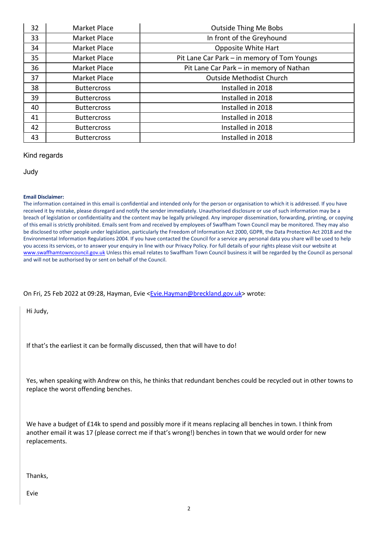| 32 | Market Place       | <b>Outside Thing Me Bobs</b>                |
|----|--------------------|---------------------------------------------|
| 33 | Market Place       | In front of the Greyhound                   |
| 34 | Market Place       | <b>Opposite White Hart</b>                  |
| 35 | Market Place       | Pit Lane Car Park – in memory of Tom Youngs |
| 36 | Market Place       | Pit Lane Car Park - in memory of Nathan     |
| 37 | Market Place       | <b>Outside Methodist Church</b>             |
| 38 | <b>Buttercross</b> | Installed in 2018                           |
| 39 | <b>Buttercross</b> | Installed in 2018                           |
| 40 | <b>Buttercross</b> | Installed in 2018                           |
| 41 | <b>Buttercross</b> | Installed in 2018                           |
| 42 | <b>Buttercross</b> | Installed in 2018                           |
| 43 | <b>Buttercross</b> | Installed in 2018                           |

## Kind regards

Judy

## Email Disclaimer:

The information contained in this email is confidential and intended only for the person or organisation to which it is addressed. If you have received it by mistake, please disregard and notify the sender immediately. Unauthorised disclosure or use of such information may be a breach of legislation or confidentiality and the content may be legally privileged. Any improper dissemination, forwarding, printing, or copying of this email is strictly prohibited. Emails sent from and received by employees of Swaffham Town Council may be monitored. They may also be disclosed to other people under legislation, particularly the Freedom of Information Act 2000, GDPR, the Data Protection Act 2018 and the Environmental Information Regulations 2004. If you have contacted the Council for a service any personal data you share will be used to help you access its services, or to answer your enquiry in line with our Privacy Policy. For full details of your rights please visit our website at www.swaffhamtowncouncil.gov.uk Unless this email relates to Swaffham Town Council business it will be regarded by the Council as personal and will not be authorised by or sent on behalf of the Council.

On Fri, 25 Feb 2022 at 09:28, Hayman, Evie <Evie.Hayman@breckland.gov.uk> wrote:

Hi Judy,

If that's the earliest it can be formally discussed, then that will have to do!

Yes, when speaking with Andrew on this, he thinks that redundant benches could be recycled out in other towns to replace the worst offending benches.

We have a budget of £14k to spend and possibly more if it means replacing all benches in town. I think from another email it was 17 (please correct me if that's wrong!) benches in town that we would order for new replacements.

Thanks,

Evie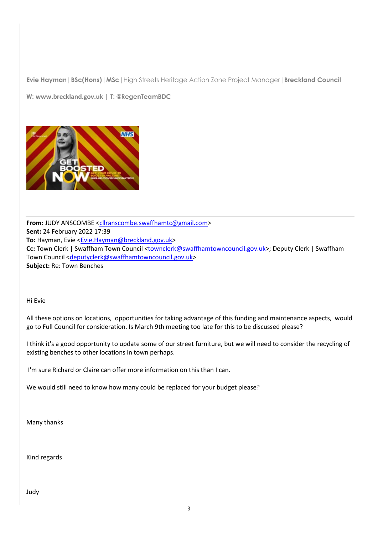Evie Hayman | BSc(Hons) | MSc | High Streets Heritage Action Zone Project Manager | Breckland Council

W: www.breckland.gov.uk | T: @RegenTeamBDC



From: JUDY ANSCOMBE <cllranscombe.swaffhamtc@gmail.com> Sent: 24 February 2022 17:39 To: Hayman, Evie <Evie.Hayman@breckland.gov.uk> Cc: Town Clerk | Swaffham Town Council <townclerk@swaffhamtowncouncil.gov.uk>; Deputy Clerk | Swaffham Town Council <deputyclerk@swaffhamtowncouncil.gov.uk> Subject: Re: Town Benches

Hi Evie

All these options on locations, opportunities for taking advantage of this funding and maintenance aspects, would go to Full Council for consideration. Is March 9th meeting too late for this to be discussed please?

I think it's a good opportunity to update some of our street furniture, but we will need to consider the recycling of existing benches to other locations in town perhaps.

I'm sure Richard or Claire can offer more information on this than I can.

We would still need to know how many could be replaced for your budget please?

Many thanks

Kind regards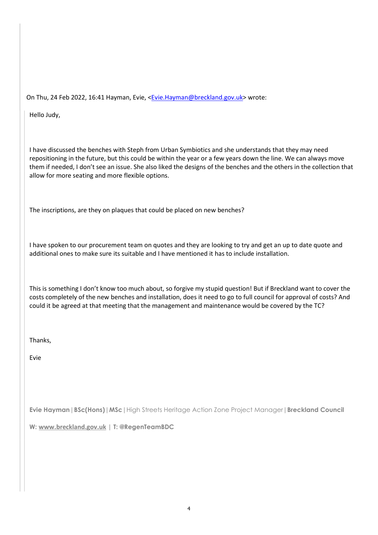On Thu, 24 Feb 2022, 16:41 Hayman, Evie, <Evie.Hayman@breckland.gov.uk> wrote:

Hello Judy,

I have discussed the benches with Steph from Urban Symbiotics and she understands that they may need repositioning in the future, but this could be within the year or a few years down the line. We can always move them if needed, I don't see an issue. She also liked the designs of the benches and the others in the collection that allow for more seating and more flexible options.

The inscriptions, are they on plaques that could be placed on new benches?

I have spoken to our procurement team on quotes and they are looking to try and get an up to date quote and additional ones to make sure its suitable and I have mentioned it has to include installation.

This is something I don't know too much about, so forgive my stupid question! But if Breckland want to cover the costs completely of the new benches and installation, does it need to go to full council for approval of costs? And could it be agreed at that meeting that the management and maintenance would be covered by the TC?

Thanks,

Evie

Evie Hayman | BSc(Hons) | MSc | High Streets Heritage Action Zone Project Manager | Breckland Council

W: www.breckland.gov.uk | T: @RegenTeamBDC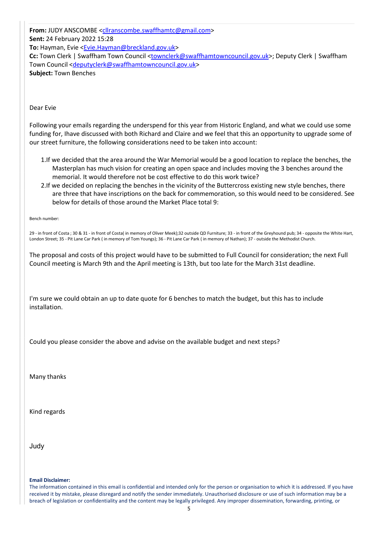From: JUDY ANSCOMBE <cllranscombe.swaffhamtc@gmail.com> Sent: 24 February 2022 15:28 To: Hayman, Evie <Evie.Hayman@breckland.gov.uk> Cc: Town Clerk | Swaffham Town Council <townclerk@swaffhamtowncouncil.gov.uk>; Deputy Clerk | Swaffham Town Council <deputyclerk@swaffhamtowncouncil.gov.uk> Subject: Town Benches

Dear Evie

Following your emails regarding the underspend for this year from Historic England, and what we could use some funding for, Ihave discussed with both Richard and Claire and we feel that this an opportunity to upgrade some of our street furniture, the following considerations need to be taken into account:

- 1.If we decided that the area around the War Memorial would be a good location to replace the benches, the Masterplan has much vision for creating an open space and includes moving the 3 benches around the memorial. It would therefore not be cost effective to do this work twice?
- 2.If we decided on replacing the benches in the vicinity of the Buttercross existing new style benches, there are three that have inscriptions on the back for commemoration, so this would need to be considered. See below for details of those around the Market Place total 9:

Bench number:

29 - in front of Costa ; 30 & 31 - in front of Costa( in memory of Oliver Meek);32 outside QD Furniture; 33 - in front of the Greyhound pub; 34 - opposite the White Hart, London Street; 35 - Pit Lane Car Park ( in memory of Tom Youngs); 36 - Pit Lane Car Park ( in memory of Nathan); 37 - outside the Methodist Church.

The proposal and costs of this project would have to be submitted to Full Council for consideration; the next Full Council meeting is March 9th and the April meeting is 13th, but too late for the March 31st deadline.

I'm sure we could obtain an up to date quote for 6 benches to match the budget, but this has to include installation.

Could you please consider the above and advise on the available budget and next steps?

Many thanks

Kind regards

Judy

Email Disclaimer:

The information contained in this email is confidential and intended only for the person or organisation to which it is addressed. If you have received it by mistake, please disregard and notify the sender immediately. Unauthorised disclosure or use of such information may be a breach of legislation or confidentiality and the content may be legally privileged. Any improper dissemination, forwarding, printing, or